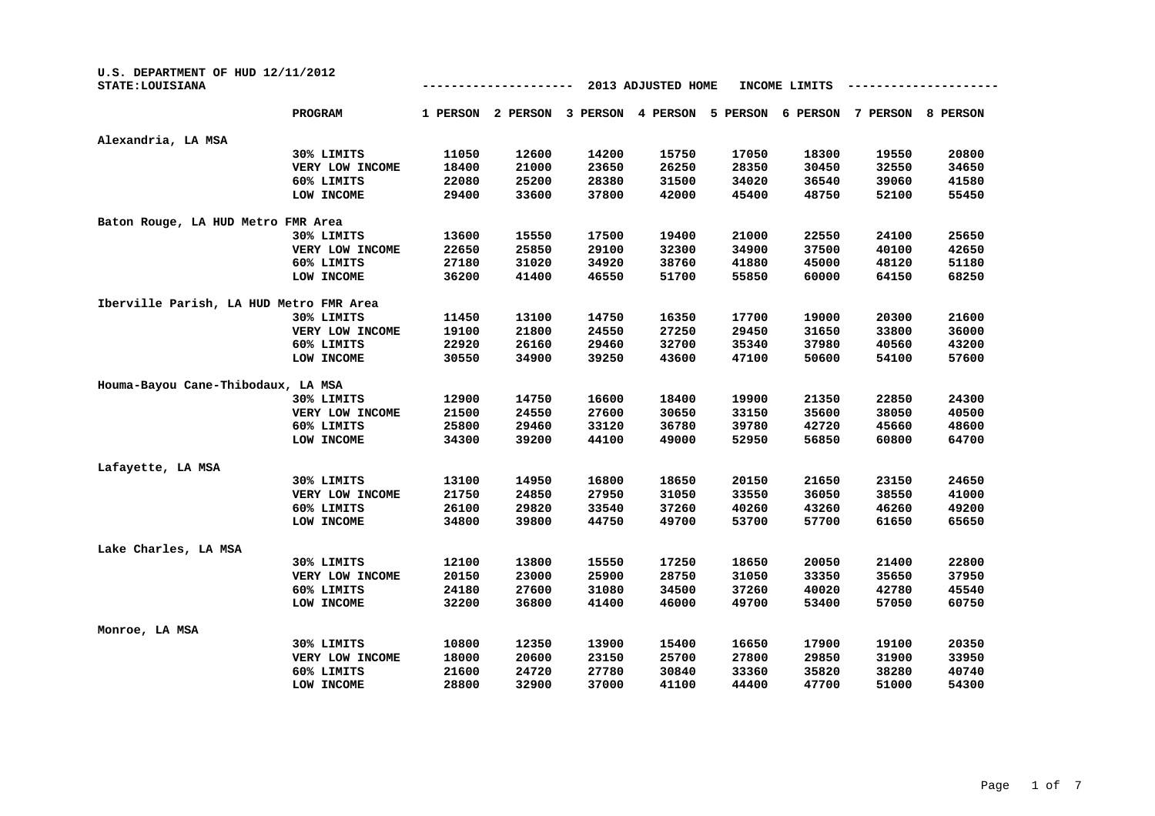| U.S. DEPARTMENT OF HUD 12/11/2012<br>STATE: LOUISIANA |                 |          |          |          | 2013 ADJUSTED HOME |          | INCOME LIMITS |          |          |
|-------------------------------------------------------|-----------------|----------|----------|----------|--------------------|----------|---------------|----------|----------|
|                                                       | <b>PROGRAM</b>  | 1 PERSON | 2 PERSON | 3 PERSON | 4 PERSON           | 5 PERSON | 6 PERSON      | 7 PERSON | 8 PERSON |
| Alexandria, LA MSA                                    |                 |          |          |          |                    |          |               |          |          |
|                                                       | 30% LIMITS      | 11050    | 12600    | 14200    | 15750              | 17050    | 18300         | 19550    | 20800    |
|                                                       | VERY LOW INCOME | 18400    | 21000    | 23650    | 26250              | 28350    | 30450         | 32550    | 34650    |
|                                                       | 60% LIMITS      | 22080    | 25200    | 28380    | 31500              | 34020    | 36540         | 39060    | 41580    |
|                                                       | LOW INCOME      | 29400    | 33600    | 37800    | 42000              | 45400    | 48750         | 52100    | 55450    |
| Baton Rouge, LA HUD Metro FMR Area                    |                 |          |          |          |                    |          |               |          |          |
|                                                       | 30% LIMITS      | 13600    | 15550    | 17500    | 19400              | 21000    | 22550         | 24100    | 25650    |
|                                                       | VERY LOW INCOME | 22650    | 25850    | 29100    | 32300              | 34900    | 37500         | 40100    | 42650    |
|                                                       | 60% LIMITS      | 27180    | 31020    | 34920    | 38760              | 41880    | 45000         | 48120    | 51180    |
|                                                       | LOW INCOME      | 36200    | 41400    | 46550    | 51700              | 55850    | 60000         | 64150    | 68250    |
| Iberville Parish, LA HUD Metro FMR Area               |                 |          |          |          |                    |          |               |          |          |
|                                                       | 30% LIMITS      | 11450    | 13100    | 14750    | 16350              | 17700    | 19000         | 20300    | 21600    |
|                                                       | VERY LOW INCOME | 19100    | 21800    | 24550    | 27250              | 29450    | 31650         | 33800    | 36000    |
|                                                       | 60% LIMITS      | 22920    | 26160    | 29460    | 32700              | 35340    | 37980         | 40560    | 43200    |
|                                                       | LOW INCOME      | 30550    | 34900    | 39250    | 43600              | 47100    | 50600         | 54100    | 57600    |
| Houma-Bayou Cane-Thibodaux, LA MSA                    |                 |          |          |          |                    |          |               |          |          |
|                                                       | 30% LIMITS      | 12900    | 14750    | 16600    | 18400              | 19900    | 21350         | 22850    | 24300    |
|                                                       | VERY LOW INCOME | 21500    | 24550    | 27600    | 30650              | 33150    | 35600         | 38050    | 40500    |
|                                                       | 60% LIMITS      | 25800    | 29460    | 33120    | 36780              | 39780    | 42720         | 45660    | 48600    |
|                                                       | LOW INCOME      | 34300    | 39200    | 44100    | 49000              | 52950    | 56850         | 60800    | 64700    |
| Lafayette, LA MSA                                     |                 |          |          |          |                    |          |               |          |          |
|                                                       | 30% LIMITS      | 13100    | 14950    | 16800    | 18650              | 20150    | 21650         | 23150    | 24650    |
|                                                       | VERY LOW INCOME | 21750    | 24850    | 27950    | 31050              | 33550    | 36050         | 38550    | 41000    |
|                                                       | 60% LIMITS      | 26100    | 29820    | 33540    | 37260              | 40260    | 43260         | 46260    | 49200    |
|                                                       | LOW INCOME      | 34800    | 39800    | 44750    | 49700              | 53700    | 57700         | 61650    | 65650    |
| Lake Charles, LA MSA                                  |                 |          |          |          |                    |          |               |          |          |
|                                                       | 30% LIMITS      | 12100    | 13800    | 15550    | 17250              | 18650    | 20050         | 21400    | 22800    |
|                                                       | VERY LOW INCOME | 20150    | 23000    | 25900    | 28750              | 31050    | 33350         | 35650    | 37950    |
|                                                       | 60% LIMITS      | 24180    | 27600    | 31080    | 34500              | 37260    | 40020         | 42780    | 45540    |
|                                                       | LOW INCOME      | 32200    | 36800    | 41400    | 46000              | 49700    | 53400         | 57050    | 60750    |
| Monroe, LA MSA                                        |                 |          |          |          |                    |          |               |          |          |
|                                                       | 30% LIMITS      | 10800    | 12350    | 13900    | 15400              | 16650    | 17900         | 19100    | 20350    |
|                                                       | VERY LOW INCOME | 18000    | 20600    | 23150    | 25700              | 27800    | 29850         | 31900    | 33950    |
|                                                       | 60% LIMITS      | 21600    | 24720    | 27780    | 30840              | 33360    | 35820         | 38280    | 40740    |
|                                                       | LOW INCOME      | 28800    | 32900    | 37000    | 41100              | 44400    | 47700         | 51000    | 54300    |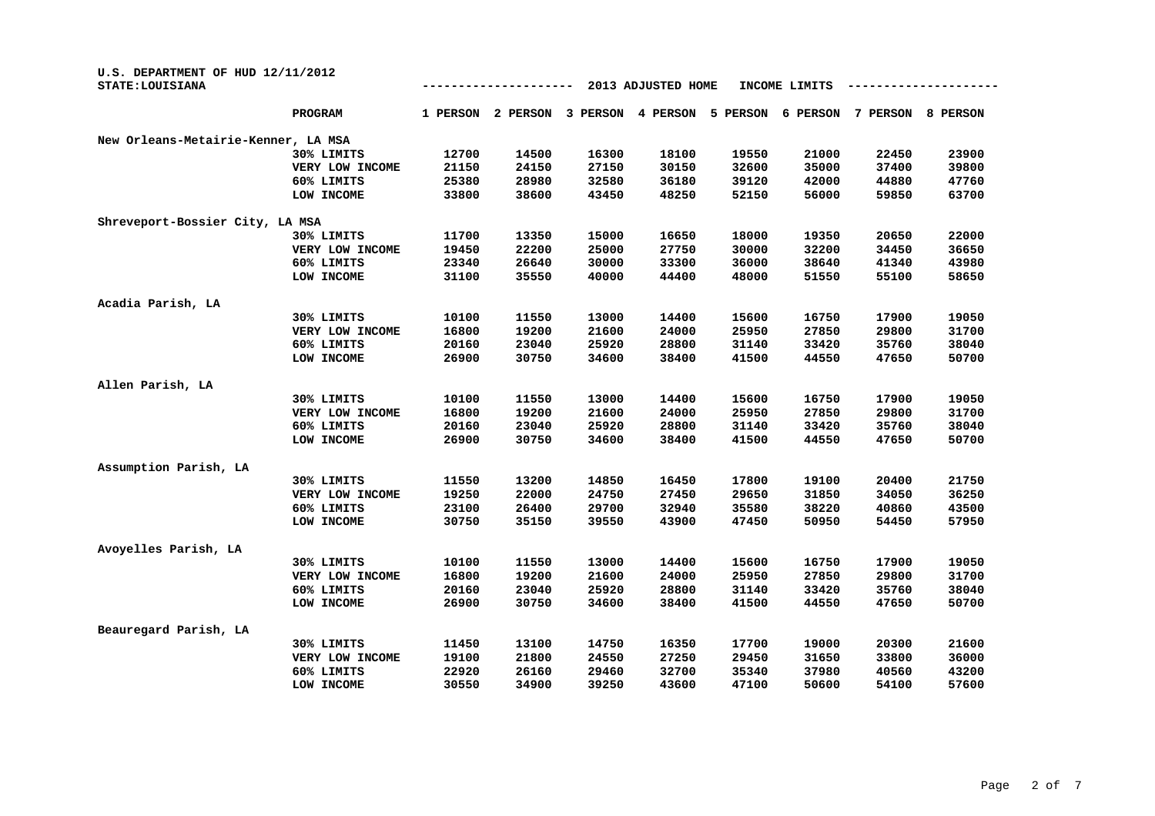| U.S. DEPARTMENT OF HUD 12/11/2012<br>STATE: LOUISIANA |                 |          |          |          | 2013 ADJUSTED HOME |          | INCOME LIMITS |          |          |
|-------------------------------------------------------|-----------------|----------|----------|----------|--------------------|----------|---------------|----------|----------|
|                                                       | PROGRAM         | 1 PERSON | 2 PERSON | 3 PERSON | 4 PERSON           | 5 PERSON | 6 PERSON      | 7 PERSON | 8 PERSON |
| New Orleans-Metairie-Kenner, LA MSA                   |                 |          |          |          |                    |          |               |          |          |
|                                                       | 30% LIMITS      | 12700    | 14500    | 16300    | 18100              | 19550    | 21000         | 22450    | 23900    |
|                                                       | VERY LOW INCOME | 21150    | 24150    | 27150    | 30150              | 32600    | 35000         | 37400    | 39800    |
|                                                       | 60% LIMITS      | 25380    | 28980    | 32580    | 36180              | 39120    | 42000         | 44880    | 47760    |
|                                                       | LOW INCOME      | 33800    | 38600    | 43450    | 48250              | 52150    | 56000         | 59850    | 63700    |
| Shreveport-Bossier City, LA MSA                       |                 |          |          |          |                    |          |               |          |          |
|                                                       | 30% LIMITS      | 11700    | 13350    | 15000    | 16650              | 18000    | 19350         | 20650    | 22000    |
|                                                       | VERY LOW INCOME | 19450    | 22200    | 25000    | 27750              | 30000    | 32200         | 34450    | 36650    |
|                                                       | 60% LIMITS      | 23340    | 26640    | 30000    | 33300              | 36000    | 38640         | 41340    | 43980    |
|                                                       | LOW INCOME      | 31100    | 35550    | 40000    | 44400              | 48000    | 51550         | 55100    | 58650    |
| Acadia Parish, LA                                     |                 |          |          |          |                    |          |               |          |          |
|                                                       | 30% LIMITS      | 10100    | 11550    | 13000    | 14400              | 15600    | 16750         | 17900    | 19050    |
|                                                       | VERY LOW INCOME | 16800    | 19200    | 21600    | 24000              | 25950    | 27850         | 29800    | 31700    |
|                                                       | 60% LIMITS      | 20160    | 23040    | 25920    | 28800              | 31140    | 33420         | 35760    | 38040    |
|                                                       | LOW INCOME      | 26900    | 30750    | 34600    | 38400              | 41500    | 44550         | 47650    | 50700    |
| Allen Parish, LA                                      |                 |          |          |          |                    |          |               |          |          |
|                                                       | 30% LIMITS      | 10100    | 11550    | 13000    | 14400              | 15600    | 16750         | 17900    | 19050    |
|                                                       | VERY LOW INCOME | 16800    | 19200    | 21600    | 24000              | 25950    | 27850         | 29800    | 31700    |
|                                                       | 60% LIMITS      | 20160    | 23040    | 25920    | 28800              | 31140    | 33420         | 35760    | 38040    |
|                                                       | LOW INCOME      | 26900    | 30750    | 34600    | 38400              | 41500    | 44550         | 47650    | 50700    |
| Assumption Parish, LA                                 |                 |          |          |          |                    |          |               |          |          |
|                                                       | 30% LIMITS      | 11550    | 13200    | 14850    | 16450              | 17800    | 19100         | 20400    | 21750    |
|                                                       | VERY LOW INCOME | 19250    | 22000    | 24750    | 27450              | 29650    | 31850         | 34050    | 36250    |
|                                                       | 60% LIMITS      | 23100    | 26400    | 29700    | 32940              | 35580    | 38220         | 40860    | 43500    |
|                                                       | LOW INCOME      | 30750    | 35150    | 39550    | 43900              | 47450    | 50950         | 54450    | 57950    |
| Avoyelles Parish, LA                                  |                 |          |          |          |                    |          |               |          |          |
|                                                       | 30% LIMITS      | 10100    | 11550    | 13000    | 14400              | 15600    | 16750         | 17900    | 19050    |
|                                                       | VERY LOW INCOME | 16800    | 19200    | 21600    | 24000              | 25950    | 27850         | 29800    | 31700    |
|                                                       | 60% LIMITS      | 20160    | 23040    | 25920    | 28800              | 31140    | 33420         | 35760    | 38040    |
|                                                       | LOW INCOME      | 26900    | 30750    | 34600    | 38400              | 41500    | 44550         | 47650    | 50700    |
| Beauregard Parish, LA                                 |                 |          |          |          |                    |          |               |          |          |
|                                                       | 30% LIMITS      | 11450    | 13100    | 14750    | 16350              | 17700    | 19000         | 20300    | 21600    |
|                                                       | VERY LOW INCOME | 19100    | 21800    | 24550    | 27250              | 29450    | 31650         | 33800    | 36000    |
|                                                       | 60% LIMITS      | 22920    | 26160    | 29460    | 32700              | 35340    | 37980         | 40560    | 43200    |
|                                                       | LOW INCOME      | 30550    | 34900    | 39250    | 43600              | 47100    | 50600         | 54100    | 57600    |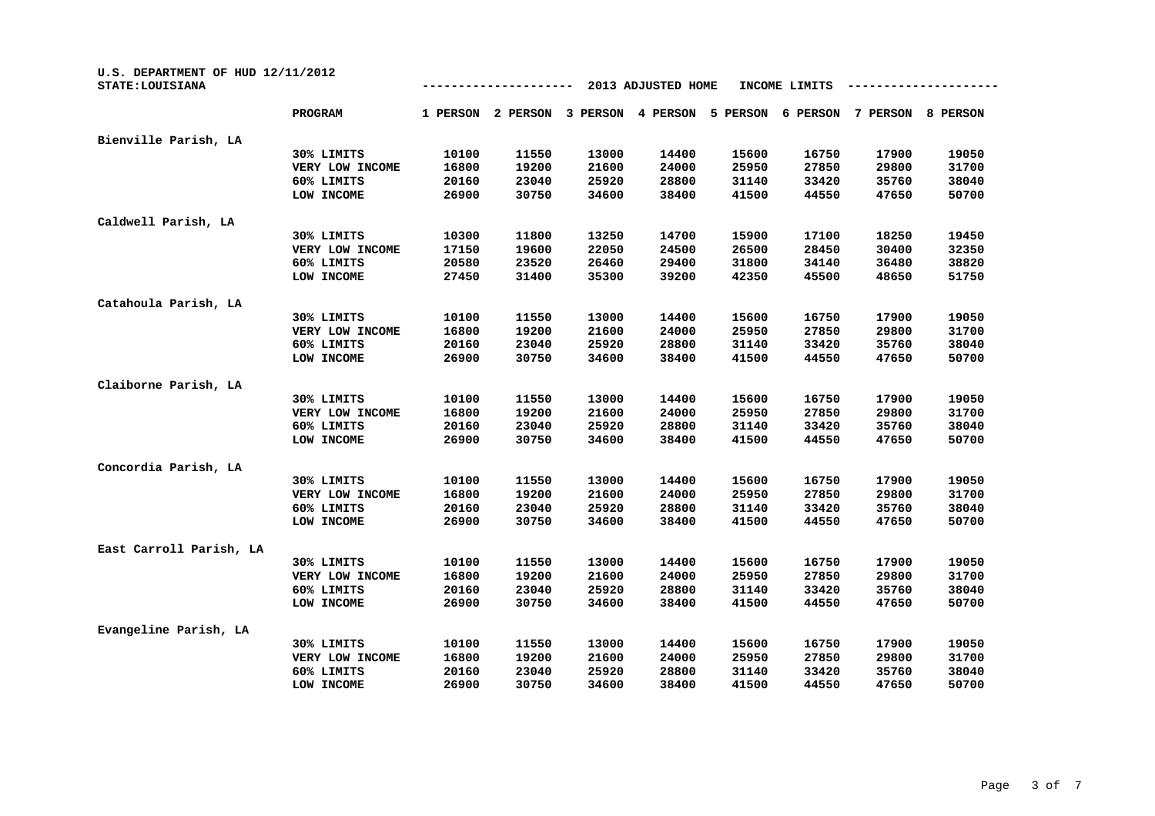| U.S. DEPARTMENT OF HUD 12/11/2012<br>STATE: LOUISIANA |                 |          |          |          | 2013 ADJUSTED HOME |          | INCOME LIMITS |          |          |
|-------------------------------------------------------|-----------------|----------|----------|----------|--------------------|----------|---------------|----------|----------|
|                                                       | <b>PROGRAM</b>  | 1 PERSON | 2 PERSON | 3 PERSON | 4 PERSON           | 5 PERSON | 6 PERSON      | 7 PERSON | 8 PERSON |
| Bienville Parish, LA                                  |                 |          |          |          |                    |          |               |          |          |
|                                                       | 30% LIMITS      | 10100    | 11550    | 13000    | 14400              | 15600    | 16750         | 17900    | 19050    |
|                                                       | VERY LOW INCOME | 16800    | 19200    | 21600    | 24000              | 25950    | 27850         | 29800    | 31700    |
|                                                       | 60% LIMITS      | 20160    | 23040    | 25920    | 28800              | 31140    | 33420         | 35760    | 38040    |
|                                                       | LOW INCOME      | 26900    | 30750    | 34600    | 38400              | 41500    | 44550         | 47650    | 50700    |
| Caldwell Parish, LA                                   |                 |          |          |          |                    |          |               |          |          |
|                                                       | 30% LIMITS      | 10300    | 11800    | 13250    | 14700              | 15900    | 17100         | 18250    | 19450    |
|                                                       | VERY LOW INCOME | 17150    | 19600    | 22050    | 24500              | 26500    | 28450         | 30400    | 32350    |
|                                                       | 60% LIMITS      | 20580    | 23520    | 26460    | 29400              | 31800    | 34140         | 36480    | 38820    |
|                                                       | LOW INCOME      | 27450    | 31400    | 35300    | 39200              | 42350    | 45500         | 48650    | 51750    |
| Catahoula Parish, LA                                  |                 |          |          |          |                    |          |               |          |          |
|                                                       | 30% LIMITS      | 10100    | 11550    | 13000    | 14400              | 15600    | 16750         | 17900    | 19050    |
|                                                       | VERY LOW INCOME | 16800    | 19200    | 21600    | 24000              | 25950    | 27850         | 29800    | 31700    |
|                                                       | 60% LIMITS      | 20160    | 23040    | 25920    | 28800              | 31140    | 33420         | 35760    | 38040    |
|                                                       | LOW INCOME      | 26900    | 30750    | 34600    | 38400              | 41500    | 44550         | 47650    | 50700    |
| Claiborne Parish, LA                                  |                 |          |          |          |                    |          |               |          |          |
|                                                       | 30% LIMITS      | 10100    | 11550    | 13000    | 14400              | 15600    | 16750         | 17900    | 19050    |
|                                                       | VERY LOW INCOME | 16800    | 19200    | 21600    | 24000              | 25950    | 27850         | 29800    | 31700    |
|                                                       | 60% LIMITS      | 20160    | 23040    | 25920    | 28800              | 31140    | 33420         | 35760    | 38040    |
|                                                       | LOW INCOME      | 26900    | 30750    | 34600    | 38400              | 41500    | 44550         | 47650    | 50700    |
| Concordia Parish, LA                                  |                 |          |          |          |                    |          |               |          |          |
|                                                       | 30% LIMITS      | 10100    | 11550    | 13000    | 14400              | 15600    | 16750         | 17900    | 19050    |
|                                                       | VERY LOW INCOME | 16800    | 19200    | 21600    | 24000              | 25950    | 27850         | 29800    | 31700    |
|                                                       | 60% LIMITS      | 20160    | 23040    | 25920    | 28800              | 31140    | 33420         | 35760    | 38040    |
|                                                       | LOW INCOME      | 26900    | 30750    | 34600    | 38400              | 41500    | 44550         | 47650    | 50700    |
| East Carroll Parish, LA                               |                 |          |          |          |                    |          |               |          |          |
|                                                       | 30% LIMITS      | 10100    | 11550    | 13000    | 14400              | 15600    | 16750         | 17900    | 19050    |
|                                                       | VERY LOW INCOME | 16800    | 19200    | 21600    | 24000              | 25950    | 27850         | 29800    | 31700    |
|                                                       | 60% LIMITS      | 20160    | 23040    | 25920    | 28800              | 31140    | 33420         | 35760    | 38040    |
|                                                       | LOW INCOME      | 26900    | 30750    | 34600    | 38400              | 41500    | 44550         | 47650    | 50700    |
| Evangeline Parish, LA                                 |                 |          |          |          |                    |          |               |          |          |
|                                                       | 30% LIMITS      | 10100    | 11550    | 13000    | 14400              | 15600    | 16750         | 17900    | 19050    |
|                                                       | VERY LOW INCOME | 16800    | 19200    | 21600    | 24000              | 25950    | 27850         | 29800    | 31700    |
|                                                       | 60% LIMITS      | 20160    | 23040    | 25920    | 28800              | 31140    | 33420         | 35760    | 38040    |
|                                                       | LOW INCOME      | 26900    | 30750    | 34600    | 38400              | 41500    | 44550         | 47650    | 50700    |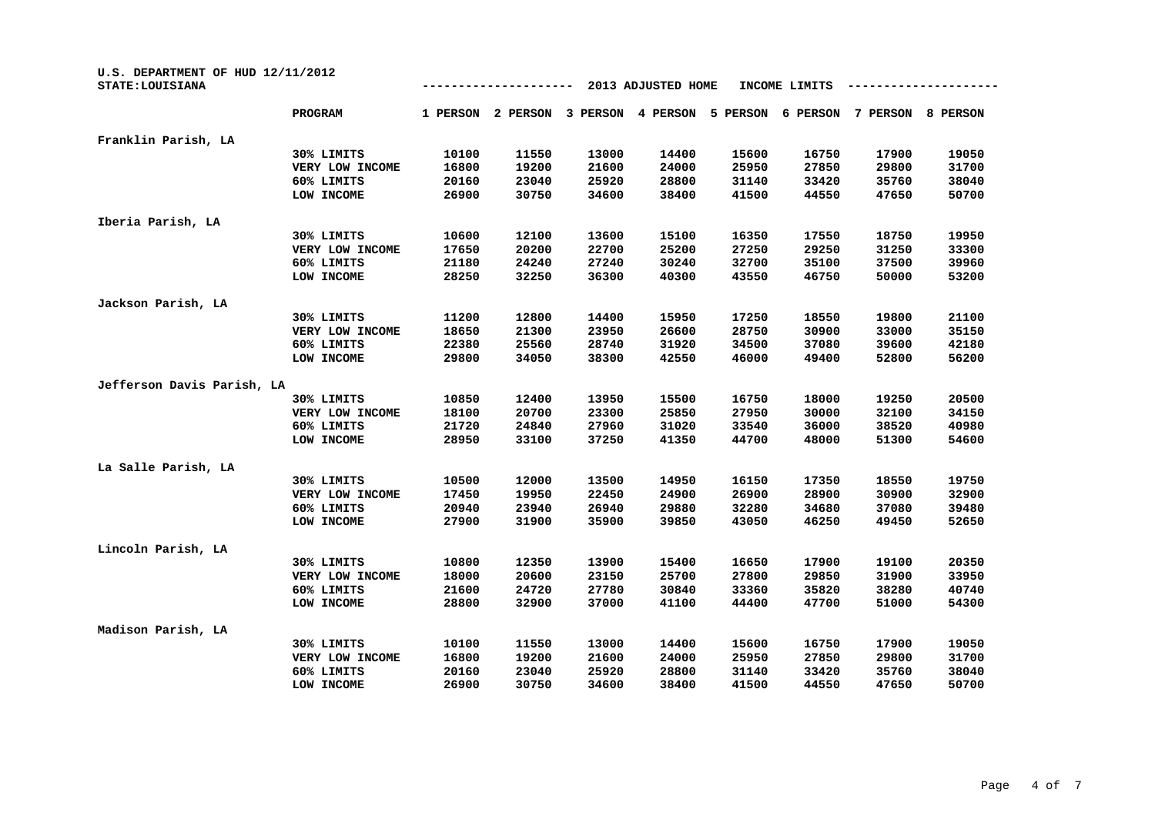| U.S. DEPARTMENT OF HUD 12/11/2012<br>STATE: LOUISIANA |                 |          |          |          | 2013 ADJUSTED HOME |          | INCOME LIMITS |          |          |
|-------------------------------------------------------|-----------------|----------|----------|----------|--------------------|----------|---------------|----------|----------|
|                                                       | <b>PROGRAM</b>  | 1 PERSON | 2 PERSON | 3 PERSON | 4 PERSON           | 5 PERSON | 6 PERSON      | 7 PERSON | 8 PERSON |
| Franklin Parish, LA                                   |                 |          |          |          |                    |          |               |          |          |
|                                                       | 30% LIMITS      | 10100    | 11550    | 13000    | 14400              | 15600    | 16750         | 17900    | 19050    |
|                                                       | VERY LOW INCOME | 16800    | 19200    | 21600    | 24000              | 25950    | 27850         | 29800    | 31700    |
|                                                       | 60% LIMITS      | 20160    | 23040    | 25920    | 28800              | 31140    | 33420         | 35760    | 38040    |
|                                                       | LOW INCOME      | 26900    | 30750    | 34600    | 38400              | 41500    | 44550         | 47650    | 50700    |
| Iberia Parish, LA                                     |                 |          |          |          |                    |          |               |          |          |
|                                                       | 30% LIMITS      | 10600    | 12100    | 13600    | 15100              | 16350    | 17550         | 18750    | 19950    |
|                                                       | VERY LOW INCOME | 17650    | 20200    | 22700    | 25200              | 27250    | 29250         | 31250    | 33300    |
|                                                       | 60% LIMITS      | 21180    | 24240    | 27240    | 30240              | 32700    | 35100         | 37500    | 39960    |
|                                                       | LOW INCOME      | 28250    | 32250    | 36300    | 40300              | 43550    | 46750         | 50000    | 53200    |
| Jackson Parish, LA                                    |                 |          |          |          |                    |          |               |          |          |
|                                                       | 30% LIMITS      | 11200    | 12800    | 14400    | 15950              | 17250    | 18550         | 19800    | 21100    |
|                                                       | VERY LOW INCOME | 18650    | 21300    | 23950    | 26600              | 28750    | 30900         | 33000    | 35150    |
|                                                       | 60% LIMITS      | 22380    | 25560    | 28740    | 31920              | 34500    | 37080         | 39600    | 42180    |
|                                                       | LOW INCOME      | 29800    | 34050    | 38300    | 42550              | 46000    | 49400         | 52800    | 56200    |
| Jefferson Davis Parish, LA                            |                 |          |          |          |                    |          |               |          |          |
|                                                       | 30% LIMITS      | 10850    | 12400    | 13950    | 15500              | 16750    | 18000         | 19250    | 20500    |
|                                                       | VERY LOW INCOME | 18100    | 20700    | 23300    | 25850              | 27950    | 30000         | 32100    | 34150    |
|                                                       | 60% LIMITS      | 21720    | 24840    | 27960    | 31020              | 33540    | 36000         | 38520    | 40980    |
|                                                       | LOW INCOME      | 28950    | 33100    | 37250    | 41350              | 44700    | 48000         | 51300    | 54600    |
| La Salle Parish, LA                                   |                 |          |          |          |                    |          |               |          |          |
|                                                       | 30% LIMITS      | 10500    | 12000    | 13500    | 14950              | 16150    | 17350         | 18550    | 19750    |
|                                                       | VERY LOW INCOME | 17450    | 19950    | 22450    | 24900              | 26900    | 28900         | 30900    | 32900    |
|                                                       | 60% LIMITS      | 20940    | 23940    | 26940    | 29880              | 32280    | 34680         | 37080    | 39480    |
|                                                       | LOW INCOME      | 27900    | 31900    | 35900    | 39850              | 43050    | 46250         | 49450    | 52650    |
| Lincoln Parish, LA                                    |                 |          |          |          |                    |          |               |          |          |
|                                                       | 30% LIMITS      | 10800    | 12350    | 13900    | 15400              | 16650    | 17900         | 19100    | 20350    |
|                                                       | VERY LOW INCOME | 18000    | 20600    | 23150    | 25700              | 27800    | 29850         | 31900    | 33950    |
|                                                       | 60% LIMITS      | 21600    | 24720    | 27780    | 30840              | 33360    | 35820         | 38280    | 40740    |
|                                                       | LOW INCOME      | 28800    | 32900    | 37000    | 41100              | 44400    | 47700         | 51000    | 54300    |
| Madison Parish, LA                                    |                 |          |          |          |                    |          |               |          |          |
|                                                       | 30% LIMITS      | 10100    | 11550    | 13000    | 14400              | 15600    | 16750         | 17900    | 19050    |
|                                                       | VERY LOW INCOME | 16800    | 19200    | 21600    | 24000              | 25950    | 27850         | 29800    | 31700    |
|                                                       | 60% LIMITS      | 20160    | 23040    | 25920    | 28800              | 31140    | 33420         | 35760    | 38040    |
|                                                       | LOW INCOME      | 26900    | 30750    | 34600    | 38400              | 41500    | 44550         | 47650    | 50700    |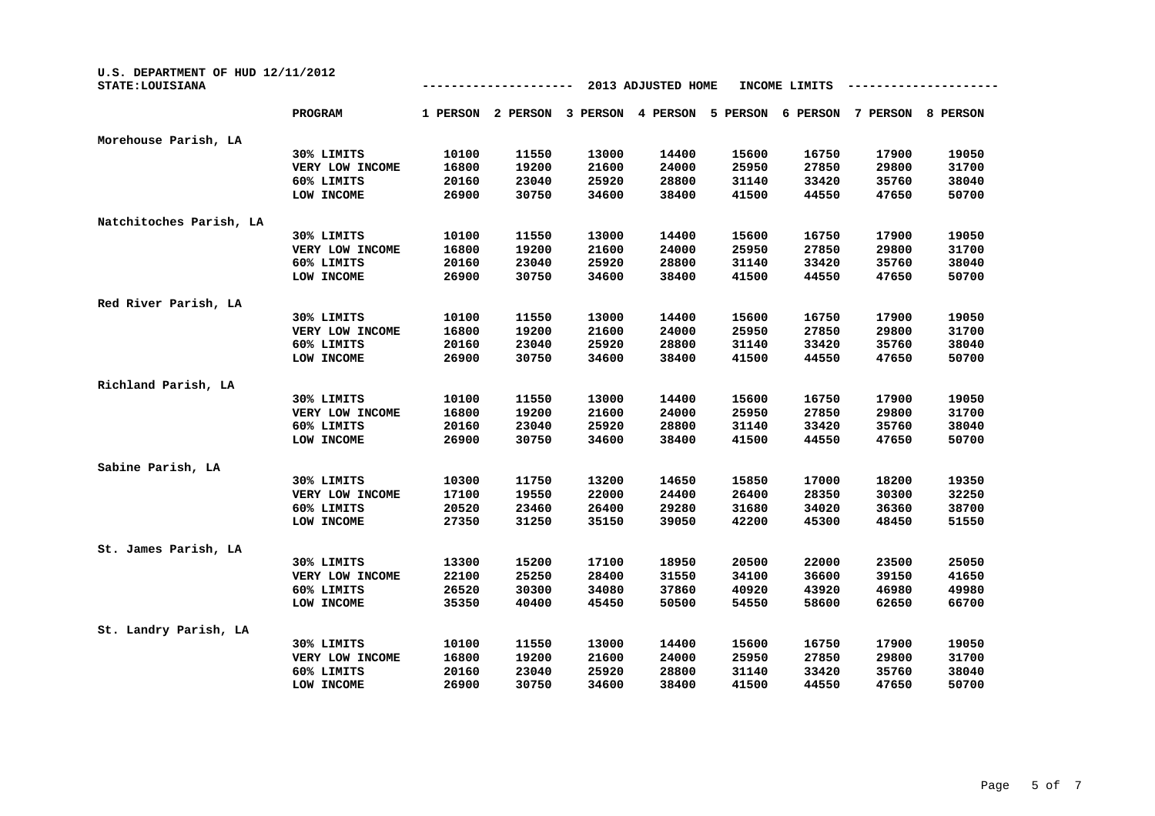| U.S. DEPARTMENT OF HUD 12/11/2012<br>STATE: LOUISIANA |                 |          |          |          | 2013 ADJUSTED HOME |          | INCOME LIMITS |          |          |
|-------------------------------------------------------|-----------------|----------|----------|----------|--------------------|----------|---------------|----------|----------|
|                                                       | <b>PROGRAM</b>  | 1 PERSON | 2 PERSON | 3 PERSON | 4 PERSON           | 5 PERSON | 6 PERSON      | 7 PERSON | 8 PERSON |
| Morehouse Parish, LA                                  |                 |          |          |          |                    |          |               |          |          |
|                                                       | 30% LIMITS      | 10100    | 11550    | 13000    | 14400              | 15600    | 16750         | 17900    | 19050    |
|                                                       | VERY LOW INCOME | 16800    | 19200    | 21600    | 24000              | 25950    | 27850         | 29800    | 31700    |
|                                                       | 60% LIMITS      | 20160    | 23040    | 25920    | 28800              | 31140    | 33420         | 35760    | 38040    |
|                                                       | LOW INCOME      | 26900    | 30750    | 34600    | 38400              | 41500    | 44550         | 47650    | 50700    |
| Natchitoches Parish, LA                               |                 |          |          |          |                    |          |               |          |          |
|                                                       | 30% LIMITS      | 10100    | 11550    | 13000    | 14400              | 15600    | 16750         | 17900    | 19050    |
|                                                       | VERY LOW INCOME | 16800    | 19200    | 21600    | 24000              | 25950    | 27850         | 29800    | 31700    |
|                                                       | 60% LIMITS      | 20160    | 23040    | 25920    | 28800              | 31140    | 33420         | 35760    | 38040    |
|                                                       | LOW INCOME      | 26900    | 30750    | 34600    | 38400              | 41500    | 44550         | 47650    | 50700    |
| Red River Parish, LA                                  |                 |          |          |          |                    |          |               |          |          |
|                                                       | 30% LIMITS      | 10100    | 11550    | 13000    | 14400              | 15600    | 16750         | 17900    | 19050    |
|                                                       | VERY LOW INCOME | 16800    | 19200    | 21600    | 24000              | 25950    | 27850         | 29800    | 31700    |
|                                                       | 60% LIMITS      | 20160    | 23040    | 25920    | 28800              | 31140    | 33420         | 35760    | 38040    |
|                                                       | LOW INCOME      | 26900    | 30750    | 34600    | 38400              | 41500    | 44550         | 47650    | 50700    |
| Richland Parish, LA                                   |                 |          |          |          |                    |          |               |          |          |
|                                                       | 30% LIMITS      | 10100    | 11550    | 13000    | 14400              | 15600    | 16750         | 17900    | 19050    |
|                                                       | VERY LOW INCOME | 16800    | 19200    | 21600    | 24000              | 25950    | 27850         | 29800    | 31700    |
|                                                       | 60% LIMITS      | 20160    | 23040    | 25920    | 28800              | 31140    | 33420         | 35760    | 38040    |
|                                                       | LOW INCOME      | 26900    | 30750    | 34600    | 38400              | 41500    | 44550         | 47650    | 50700    |
| Sabine Parish, LA                                     |                 |          |          |          |                    |          |               |          |          |
|                                                       | 30% LIMITS      | 10300    | 11750    | 13200    | 14650              | 15850    | 17000         | 18200    | 19350    |
|                                                       | VERY LOW INCOME | 17100    | 19550    | 22000    | 24400              | 26400    | 28350         | 30300    | 32250    |
|                                                       | 60% LIMITS      | 20520    | 23460    | 26400    | 29280              | 31680    | 34020         | 36360    | 38700    |
|                                                       | LOW INCOME      | 27350    | 31250    | 35150    | 39050              | 42200    | 45300         | 48450    | 51550    |
| St. James Parish, LA                                  |                 |          |          |          |                    |          |               |          |          |
|                                                       | 30% LIMITS      | 13300    | 15200    | 17100    | 18950              | 20500    | 22000         | 23500    | 25050    |
|                                                       | VERY LOW INCOME | 22100    | 25250    | 28400    | 31550              | 34100    | 36600         | 39150    | 41650    |
|                                                       | 60% LIMITS      | 26520    | 30300    | 34080    | 37860              | 40920    | 43920         | 46980    | 49980    |
|                                                       | LOW INCOME      | 35350    | 40400    | 45450    | 50500              | 54550    | 58600         | 62650    | 66700    |
| St. Landry Parish, LA                                 |                 |          |          |          |                    |          |               |          |          |
|                                                       | 30% LIMITS      | 10100    | 11550    | 13000    | 14400              | 15600    | 16750         | 17900    | 19050    |
|                                                       | VERY LOW INCOME | 16800    | 19200    | 21600    | 24000              | 25950    | 27850         | 29800    | 31700    |
|                                                       | 60% LIMITS      | 20160    | 23040    | 25920    | 28800              | 31140    | 33420         | 35760    | 38040    |
|                                                       | LOW INCOME      | 26900    | 30750    | 34600    | 38400              | 41500    | 44550         | 47650    | 50700    |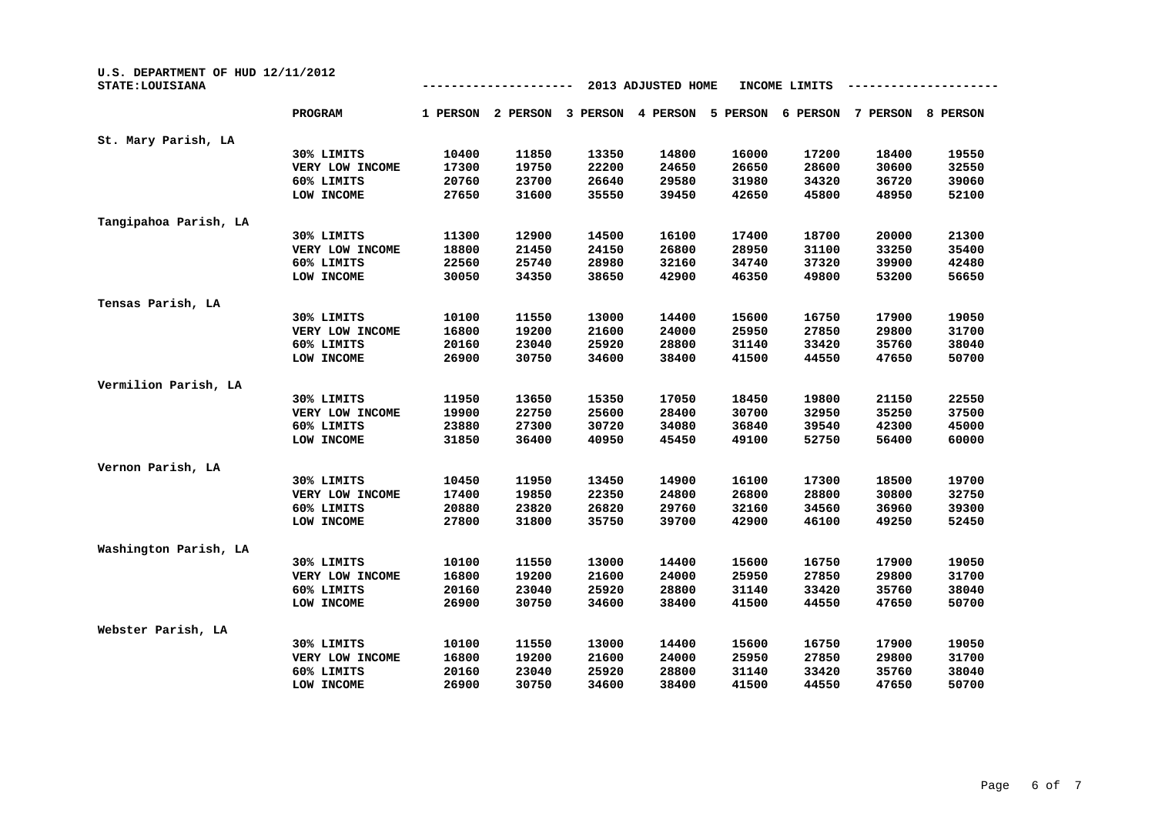| U.S. DEPARTMENT OF HUD 12/11/2012<br>STATE: LOUISIANA |                 |          |          |          | 2013 ADJUSTED HOME |          | INCOME LIMITS |          |          |
|-------------------------------------------------------|-----------------|----------|----------|----------|--------------------|----------|---------------|----------|----------|
|                                                       | <b>PROGRAM</b>  | 1 PERSON | 2 PERSON | 3 PERSON | 4 PERSON           | 5 PERSON | 6 PERSON      | 7 PERSON | 8 PERSON |
| St. Mary Parish, LA                                   |                 |          |          |          |                    |          |               |          |          |
|                                                       | 30% LIMITS      | 10400    | 11850    | 13350    | 14800              | 16000    | 17200         | 18400    | 19550    |
|                                                       | VERY LOW INCOME | 17300    | 19750    | 22200    | 24650              | 26650    | 28600         | 30600    | 32550    |
|                                                       | 60% LIMITS      | 20760    | 23700    | 26640    | 29580              | 31980    | 34320         | 36720    | 39060    |
|                                                       | LOW INCOME      | 27650    | 31600    | 35550    | 39450              | 42650    | 45800         | 48950    | 52100    |
| Tangipahoa Parish, LA                                 |                 |          |          |          |                    |          |               |          |          |
|                                                       | 30% LIMITS      | 11300    | 12900    | 14500    | 16100              | 17400    | 18700         | 20000    | 21300    |
|                                                       | VERY LOW INCOME | 18800    | 21450    | 24150    | 26800              | 28950    | 31100         | 33250    | 35400    |
|                                                       | 60% LIMITS      | 22560    | 25740    | 28980    | 32160              | 34740    | 37320         | 39900    | 42480    |
|                                                       | LOW INCOME      | 30050    | 34350    | 38650    | 42900              | 46350    | 49800         | 53200    | 56650    |
| Tensas Parish, LA                                     |                 |          |          |          |                    |          |               |          |          |
|                                                       | 30% LIMITS      | 10100    | 11550    | 13000    | 14400              | 15600    | 16750         | 17900    | 19050    |
|                                                       | VERY LOW INCOME | 16800    | 19200    | 21600    | 24000              | 25950    | 27850         | 29800    | 31700    |
|                                                       | 60% LIMITS      | 20160    | 23040    | 25920    | 28800              | 31140    | 33420         | 35760    | 38040    |
|                                                       | LOW INCOME      | 26900    | 30750    | 34600    | 38400              | 41500    | 44550         | 47650    | 50700    |
| Vermilion Parish, LA                                  |                 |          |          |          |                    |          |               |          |          |
|                                                       | 30% LIMITS      | 11950    | 13650    | 15350    | 17050              | 18450    | 19800         | 21150    | 22550    |
|                                                       | VERY LOW INCOME | 19900    | 22750    | 25600    | 28400              | 30700    | 32950         | 35250    | 37500    |
|                                                       | 60% LIMITS      | 23880    | 27300    | 30720    | 34080              | 36840    | 39540         | 42300    | 45000    |
|                                                       | LOW INCOME      | 31850    | 36400    | 40950    | 45450              | 49100    | 52750         | 56400    | 60000    |
| Vernon Parish, LA                                     |                 |          |          |          |                    |          |               |          |          |
|                                                       | 30% LIMITS      | 10450    | 11950    | 13450    | 14900              | 16100    | 17300         | 18500    | 19700    |
|                                                       | VERY LOW INCOME | 17400    | 19850    | 22350    | 24800              | 26800    | 28800         | 30800    | 32750    |
|                                                       | 60% LIMITS      | 20880    | 23820    | 26820    | 29760              | 32160    | 34560         | 36960    | 39300    |
|                                                       | LOW INCOME      | 27800    | 31800    | 35750    | 39700              | 42900    | 46100         | 49250    | 52450    |
| Washington Parish, LA                                 |                 |          |          |          |                    |          |               |          |          |
|                                                       | 30% LIMITS      | 10100    | 11550    | 13000    | 14400              | 15600    | 16750         | 17900    | 19050    |
|                                                       | VERY LOW INCOME | 16800    | 19200    | 21600    | 24000              | 25950    | 27850         | 29800    | 31700    |
|                                                       | 60% LIMITS      | 20160    | 23040    | 25920    | 28800              | 31140    | 33420         | 35760    | 38040    |
|                                                       | LOW INCOME      | 26900    | 30750    | 34600    | 38400              | 41500    | 44550         | 47650    | 50700    |
| Webster Parish, LA                                    |                 |          |          |          |                    |          |               |          |          |
|                                                       | 30% LIMITS      | 10100    | 11550    | 13000    | 14400              | 15600    | 16750         | 17900    | 19050    |
|                                                       | VERY LOW INCOME | 16800    | 19200    | 21600    | 24000              | 25950    | 27850         | 29800    | 31700    |
|                                                       | 60% LIMITS      | 20160    | 23040    | 25920    | 28800              | 31140    | 33420         | 35760    | 38040    |
|                                                       | LOW INCOME      | 26900    | 30750    | 34600    | 38400              | 41500    | 44550         | 47650    | 50700    |